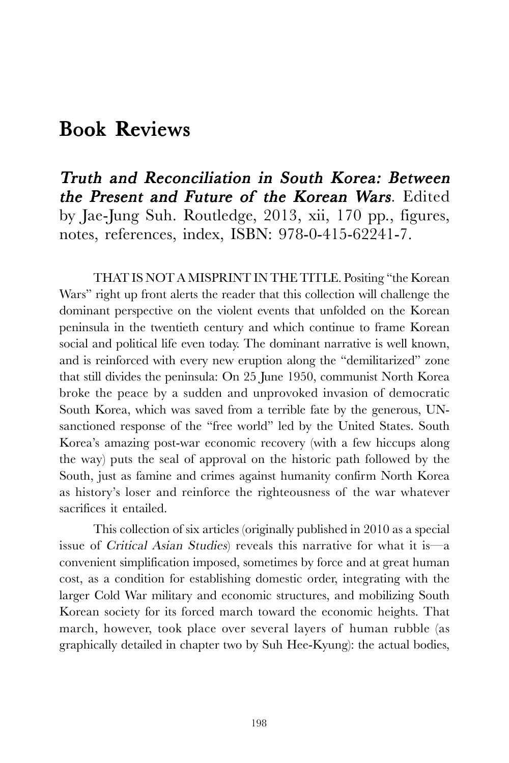## Book Reviews

Truth and Reconciliation in South Korea: Between the Present and Future of the Korean Wars. Edited by Jae-Jung Suh. Routledge, 2013, xii, 170 pp., figures, notes, references, index, ISBN: 978-0-415-62241-7.

THAT IS NOT A MISPRINT IN THE TITLE. Positing "the Korean Wars" right up front alerts the reader that this collection will challenge the dominant perspective on the violent events that unfolded on the Korean peninsula in the twentieth century and which continue to frame Korean social and political life even today. The dominant narrative is well known, and is reinforced with every new eruption along the "demilitarized" zone that still divides the peninsula: On 25 June 1950, communist North Korea broke the peace by a sudden and unprovoked invasion of democratic South Korea, which was saved from a terrible fate by the generous, UNsanctioned response of the "free world" led by the United States. South Korea's amazing post-war economic recovery (with a few hiccups along the way) puts the seal of approval on the historic path followed by the South, just as famine and crimes against humanity confirm North Korea as history's loser and reinforce the righteousness of the war whatever sacrifices it entailed.

This collection of six articles (originally published in 2010 as a special issue of Critical Asian Studies) reveals this narrative for what it is—a convenient simplification imposed, sometimes by force and at great human cost, as a condition for establishing domestic order, integrating with the larger Cold War military and economic structures, and mobilizing South Korean society for its forced march toward the economic heights. That march, however, took place over several layers of human rubble (as graphically detailed in chapter two by Suh Hee-Kyung): the actual bodies,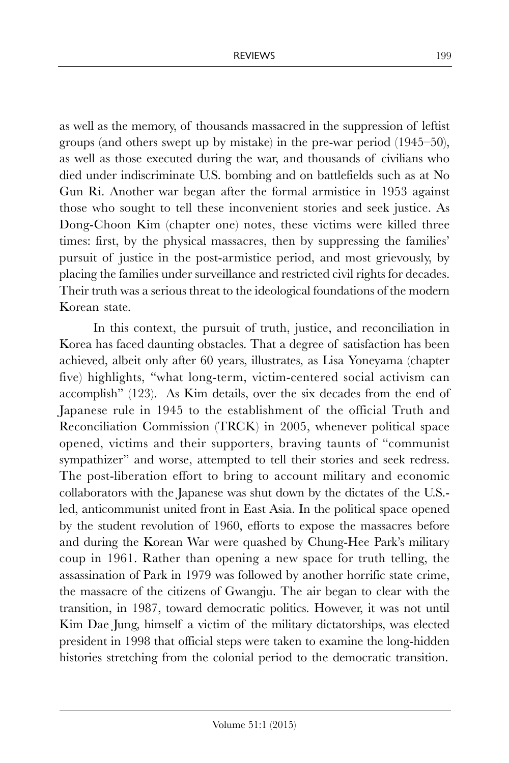as well as the memory, of thousands massacred in the suppression of leftist groups (and others swept up by mistake) in the pre-war period (1945–50), as well as those executed during the war, and thousands of civilians who died under indiscriminate U.S. bombing and on battlefields such as at No Gun Ri. Another war began after the formal armistice in 1953 against those who sought to tell these inconvenient stories and seek justice. As Dong-Choon Kim (chapter one) notes, these victims were killed three times: first, by the physical massacres, then by suppressing the families' pursuit of justice in the post-armistice period, and most grievously, by placing the families under surveillance and restricted civil rights for decades. Their truth was a serious threat to the ideological foundations of the modern Korean state.

In this context, the pursuit of truth, justice, and reconciliation in Korea has faced daunting obstacles. That a degree of satisfaction has been achieved, albeit only after 60 years, illustrates, as Lisa Yoneyama (chapter five) highlights, "what long-term, victim-centered social activism can accomplish" (123). As Kim details, over the six decades from the end of Japanese rule in 1945 to the establishment of the official Truth and Reconciliation Commission (TRCK) in 2005, whenever political space opened, victims and their supporters, braving taunts of "communist sympathizer" and worse, attempted to tell their stories and seek redress. The post-liberation effort to bring to account military and economic collaborators with the Japanese was shut down by the dictates of the U.S. led, anticommunist united front in East Asia. In the political space opened by the student revolution of 1960, efforts to expose the massacres before and during the Korean War were quashed by Chung-Hee Park's military coup in 1961. Rather than opening a new space for truth telling, the assassination of Park in 1979 was followed by another horrific state crime, the massacre of the citizens of Gwangju. The air began to clear with the transition, in 1987, toward democratic politics. However, it was not until Kim Dae Jung, himself a victim of the military dictatorships, was elected president in 1998 that official steps were taken to examine the long-hidden histories stretching from the colonial period to the democratic transition.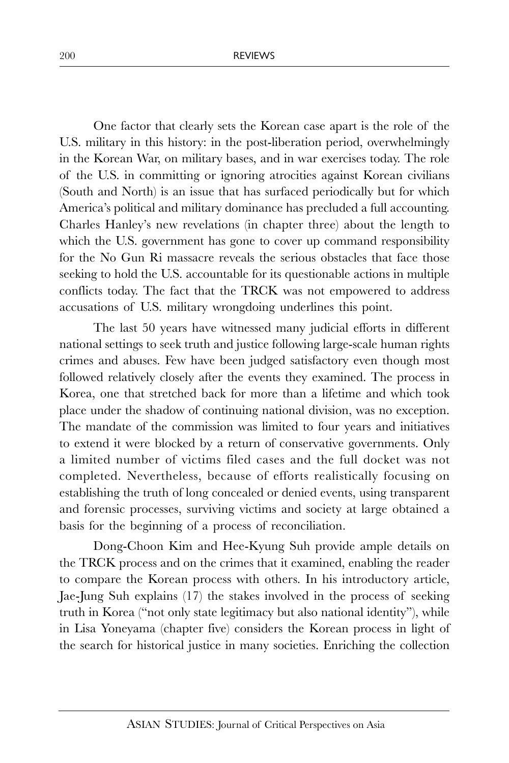One factor that clearly sets the Korean case apart is the role of the U.S. military in this history: in the post-liberation period, overwhelmingly in the Korean War, on military bases, and in war exercises today. The role of the U.S. in committing or ignoring atrocities against Korean civilians (South and North) is an issue that has surfaced periodically but for which America's political and military dominance has precluded a full accounting. Charles Hanley's new revelations (in chapter three) about the length to which the U.S. government has gone to cover up command responsibility for the No Gun Ri massacre reveals the serious obstacles that face those seeking to hold the U.S. accountable for its questionable actions in multiple conflicts today. The fact that the TRCK was not empowered to address accusations of U.S. military wrongdoing underlines this point.

The last 50 years have witnessed many judicial efforts in different national settings to seek truth and justice following large-scale human rights crimes and abuses. Few have been judged satisfactory even though most followed relatively closely after the events they examined. The process in Korea, one that stretched back for more than a lifetime and which took place under the shadow of continuing national division, was no exception. The mandate of the commission was limited to four years and initiatives to extend it were blocked by a return of conservative governments. Only a limited number of victims filed cases and the full docket was not completed. Nevertheless, because of efforts realistically focusing on establishing the truth of long concealed or denied events, using transparent and forensic processes, surviving victims and society at large obtained a basis for the beginning of a process of reconciliation.

Dong-Choon Kim and Hee-Kyung Suh provide ample details on the TRCK process and on the crimes that it examined, enabling the reader to compare the Korean process with others. In his introductory article, Jae-Jung Suh explains (17) the stakes involved in the process of seeking truth in Korea ("not only state legitimacy but also national identity"), while in Lisa Yoneyama (chapter five) considers the Korean process in light of the search for historical justice in many societies. Enriching the collection